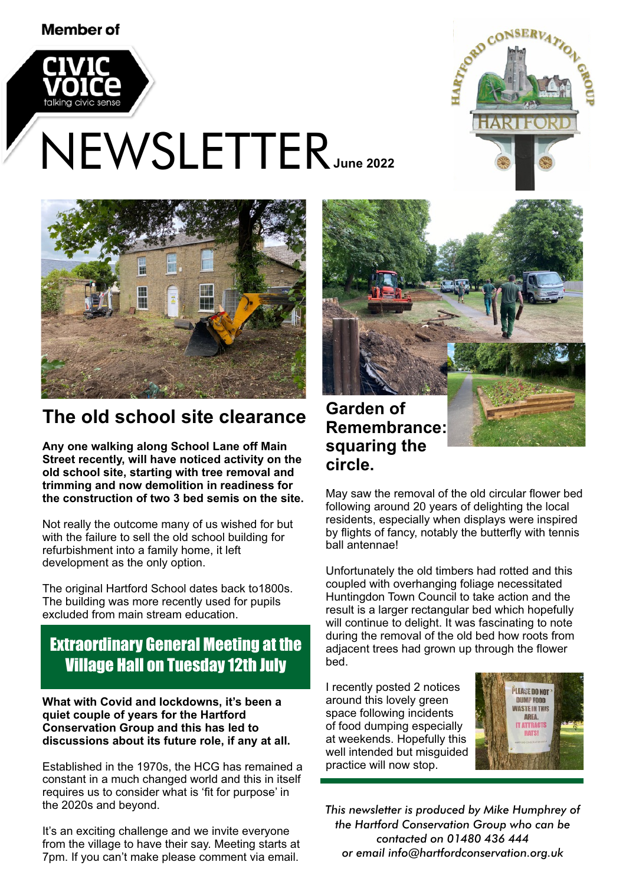#### Member of









# **The old school site clearance**

**Any one walking along School Lane off Main Street recently, will have noticed activity on the old school site, starting with tree removal and trimming and now demolition in readiness for the construction of two 3 bed semis on the site.**

Not really the outcome many of us wished for but with the failure to sell the old school building for refurbishment into a family home, it left development as the only option.

The original Hartford School dates back to1800s. The building was more recently used for pupils excluded from main stream education.

## Extraordinary General Meeting at the Village Hall on Tuesday 12th July

**What with Covid and lockdowns, it's been a quiet couple of years for the Hartford Conservation Group and this has led to discussions about its future role, if any at all.**

Established in the 1970s, the HCG has remained a constant in a much changed world and this in itself requires us to consider what is 'fit for purpose' in the 2020s and beyond.

It's an exciting challenge and we invite everyone from the village to have their say. Meeting starts at 7pm. If you can't make please comment via email.

**Garden of Remembrance: squaring the circle.**

Hartford Court flats

May saw the removal of the old circular flower bed following around 20 years of delighting the local residents, especially when displays were inspired by flights of fancy, notably the butterfly with tennis ball antennae!

Unfortunately the old timbers had rotted and this coupled with overhanging foliage necessitated Huntingdon Town Council to take action and the result is a larger rectangular bed which hopefully will continue to delight. It was fascinating to note during the removal of the old bed how roots from adjacent trees had grown up through the flower bed.

I recently posted 2 notices around this lovely green space following incidents of food dumping especially at weekends. Hopefully this well intended but misguided practice will now stop.



*This newsletter is produced by Mike Humphrey of the Hartford Conservation Group who can be contacted on 01480 436 444 or email info@hartfordconservation.org.uk*